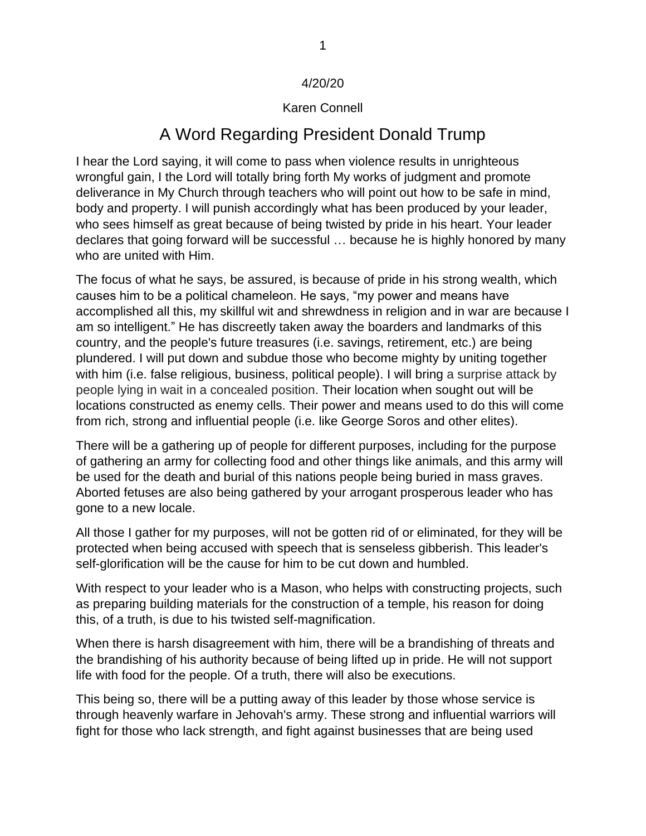## 4/20/20

## Karen Connell

## A Word Regarding President Donald Trump

I hear the Lord saying, it will come to pass when violence results in unrighteous wrongful gain, I the Lord will totally bring forth My works of judgment and promote deliverance in My Church through teachers who will point out how to be safe in mind, body and property. I will punish accordingly what has been produced by your leader, who sees himself as great because of being twisted by pride in his heart. Your leader declares that going forward will be successful … because he is highly honored by many who are united with Him.

The focus of what he says, be assured, is because of pride in his strong wealth, which causes him to be a political chameleon. He says, "my power and means have accomplished all this, my skillful wit and shrewdness in religion and in war are because I am so intelligent." He has discreetly taken away the boarders and landmarks of this country, and the people's future treasures (i.e. savings, retirement, etc.) are being plundered. I will put down and subdue those who become mighty by uniting together with him (i.e. false religious, business, political people). I will bring a surprise attack by people lying in wait in a concealed position. Their location when sought out will be locations constructed as enemy cells. Their power and means used to do this will come from rich, strong and influential people (i.e. like George Soros and other elites).

There will be a gathering up of people for different purposes, including for the purpose of gathering an army for collecting food and other things like animals, and this army will be used for the death and burial of this nations people being buried in mass graves. Aborted fetuses are also being gathered by your arrogant prosperous leader who has gone to a new locale.

All those I gather for my purposes, will not be gotten rid of or eliminated, for they will be protected when being accused with speech that is senseless gibberish. This leader's self-glorification will be the cause for him to be cut down and humbled.

With respect to your leader who is a Mason, who helps with constructing projects, such as preparing building materials for the construction of a temple, his reason for doing this, of a truth, is due to his twisted self-magnification.

When there is harsh disagreement with him, there will be a brandishing of threats and the brandishing of his authority because of being lifted up in pride. He will not support life with food for the people. Of a truth, there will also be executions.

This being so, there will be a putting away of this leader by those whose service is through heavenly warfare in Jehovah's army. These strong and influential warriors will fight for those who lack strength, and fight against businesses that are being used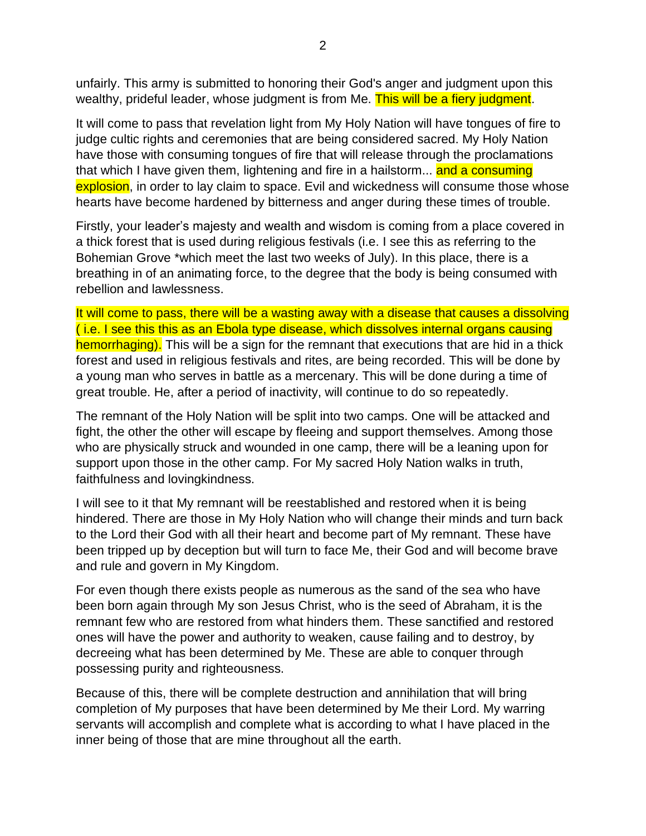unfairly. This army is submitted to honoring their God's anger and judgment upon this wealthy, prideful leader, whose judgment is from Me. This will be a fiery judgment.

It will come to pass that revelation light from My Holy Nation will have tongues of fire to judge cultic rights and ceremonies that are being considered sacred. My Holy Nation have those with consuming tongues of fire that will release through the proclamations that which I have given them, lightening and fire in a hailstorm... and a consuming explosion, in order to lay claim to space. Evil and wickedness will consume those whose hearts have become hardened by bitterness and anger during these times of trouble.

Firstly, your leader's majesty and wealth and wisdom is coming from a place covered in a thick forest that is used during religious festivals (i.e. I see this as referring to the Bohemian Grove \*which meet the last two weeks of July). In this place, there is a breathing in of an animating force, to the degree that the body is being consumed with rebellion and lawlessness.

It will come to pass, there will be a wasting away with a disease that causes a dissolving ( i.e. I see this this as an Ebola type disease, which dissolves internal organs causing hemorrhaging). This will be a sign for the remnant that executions that are hid in a thick forest and used in religious festivals and rites, are being recorded. This will be done by a young man who serves in battle as a mercenary. This will be done during a time of great trouble. He, after a period of inactivity, will continue to do so repeatedly.

The remnant of the Holy Nation will be split into two camps. One will be attacked and fight, the other the other will escape by fleeing and support themselves. Among those who are physically struck and wounded in one camp, there will be a leaning upon for support upon those in the other camp. For My sacred Holy Nation walks in truth, faithfulness and lovingkindness.

I will see to it that My remnant will be reestablished and restored when it is being hindered. There are those in My Holy Nation who will change their minds and turn back to the Lord their God with all their heart and become part of My remnant. These have been tripped up by deception but will turn to face Me, their God and will become brave and rule and govern in My Kingdom.

For even though there exists people as numerous as the sand of the sea who have been born again through My son Jesus Christ, who is the seed of Abraham, it is the remnant few who are restored from what hinders them. These sanctified and restored ones will have the power and authority to weaken, cause failing and to destroy, by decreeing what has been determined by Me. These are able to conquer through possessing purity and righteousness.

Because of this, there will be complete destruction and annihilation that will bring completion of My purposes that have been determined by Me their Lord. My warring servants will accomplish and complete what is according to what I have placed in the inner being of those that are mine throughout all the earth.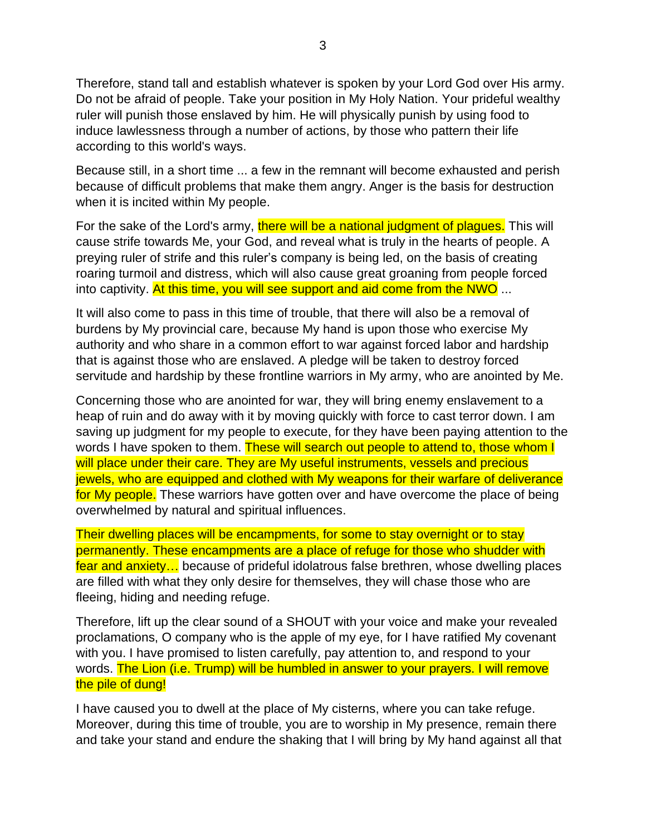Therefore, stand tall and establish whatever is spoken by your Lord God over His army. Do not be afraid of people. Take your position in My Holy Nation. Your prideful wealthy ruler will punish those enslaved by him. He will physically punish by using food to induce lawlessness through a number of actions, by those who pattern their life according to this world's ways.

Because still, in a short time ... a few in the remnant will become exhausted and perish because of difficult problems that make them angry. Anger is the basis for destruction when it is incited within My people.

For the sake of the Lord's army, there will be a national judgment of plagues. This will cause strife towards Me, your God, and reveal what is truly in the hearts of people. A preying ruler of strife and this ruler's company is being led, on the basis of creating roaring turmoil and distress, which will also cause great groaning from people forced into captivity. At this time, you will see support and aid come from the NWO ...

It will also come to pass in this time of trouble, that there will also be a removal of burdens by My provincial care, because My hand is upon those who exercise My authority and who share in a common effort to war against forced labor and hardship that is against those who are enslaved. A pledge will be taken to destroy forced servitude and hardship by these frontline warriors in My army, who are anointed by Me.

Concerning those who are anointed for war, they will bring enemy enslavement to a heap of ruin and do away with it by moving quickly with force to cast terror down. I am saving up judgment for my people to execute, for they have been paying attention to the words I have spoken to them. These will search out people to attend to, those whom I will place under their care. They are My useful instruments, vessels and precious jewels, who are equipped and clothed with My weapons for their warfare of deliverance for My people. These warriors have gotten over and have overcome the place of being overwhelmed by natural and spiritual influences.

Their dwelling places will be encampments, for some to stay overnight or to stay permanently. These encampments are a place of refuge for those who shudder with fear and anxiety… because of prideful idolatrous false brethren, whose dwelling places are filled with what they only desire for themselves, they will chase those who are fleeing, hiding and needing refuge.

Therefore, lift up the clear sound of a SHOUT with your voice and make your revealed proclamations, O company who is the apple of my eye, for I have ratified My covenant with you. I have promised to listen carefully, pay attention to, and respond to your words. The Lion (i.e. Trump) will be humbled in answer to your prayers. I will remove the pile of dung!

I have caused you to dwell at the place of My cisterns, where you can take refuge. Moreover, during this time of trouble, you are to worship in My presence, remain there and take your stand and endure the shaking that I will bring by My hand against all that